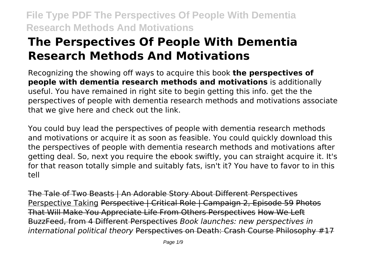# **The Perspectives Of People With Dementia Research Methods And Motivations**

Recognizing the showing off ways to acquire this book **the perspectives of people with dementia research methods and motivations** is additionally useful. You have remained in right site to begin getting this info. get the the perspectives of people with dementia research methods and motivations associate that we give here and check out the link.

You could buy lead the perspectives of people with dementia research methods and motivations or acquire it as soon as feasible. You could quickly download this the perspectives of people with dementia research methods and motivations after getting deal. So, next you require the ebook swiftly, you can straight acquire it. It's for that reason totally simple and suitably fats, isn't it? You have to favor to in this tell

The Tale of Two Beasts | An Adorable Story About Different Perspectives Perspective Taking Perspective | Critical Role | Campaign 2, Episode 59 Photos That Will Make You Appreciate Life From Others Perspectives How We Left BuzzFeed, from 4 Different Perspectives *Book launches: new perspectives in international political theory* Perspectives on Death: Crash Course Philosophy #17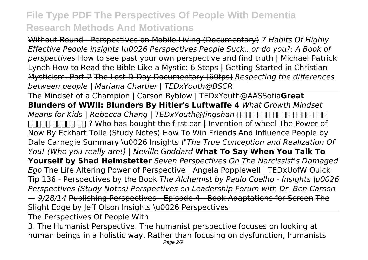Without Bound - Perspectives on Mobile Living (Documentary) *7 Habits Of Highly Effective People insights \u0026 Perspectives People Suck...or do you?: A Book of perspectives* How to see past your own perspective and find truth | Michael Patrick Lynch How to Read the Bible Like a Mystic: 6 Steps | Getting Started in Christian Mysticism, Part 2 The Lost D-Day Documentary [60fps] *Respecting the differences between people | Mariana Chartier | TEDxYouth@BSCR*

The Mindset of a Champion | Carson Byblow | TEDxYouth@AASSofia**Great Blunders of WWII: Blunders By Hitler's Luftwaffe 4** *What Growth Mindset Means for Kids | Rebecca Chang | TEDxYouth@Jingshan* <del>HTFF HTF HTFF HTFF HTF</del> FIFTER FIFTER THE ? Who has bought the first car | Invention of wheel The Power of Now By Eckhart Tolle (Study Notes) How To Win Friends And Influence People by Dale Carnegie Summary \u0026 Insights *\"The True Conception and Realization Of You! (Who you really are!) | Neville Goddard* **What To Say When You Talk To Yourself by Shad Helmstetter** *Seven Perspectives On The Narcissist's Damaged Ego* The Life Altering Power of Perspective | Angela Popplewell | TEDxUofW Quick Tip 136 - Perspectives by the Book *The Alchemist by Paulo Coelho - Insights \u0026 Perspectives (Study Notes) Perspectives on Leadership Forum with Dr. Ben Carson — 9/28/14* Publishing Perspectives - Episode 4 - Book Adaptations for Screen The Slight Edge by Jeff Olson Insights \u0026 Perspectives

The Perspectives Of People With

3. The Humanist Perspective. The humanist perspective focuses on looking at human beings in a holistic way. Rather than focusing on dysfunction, humanists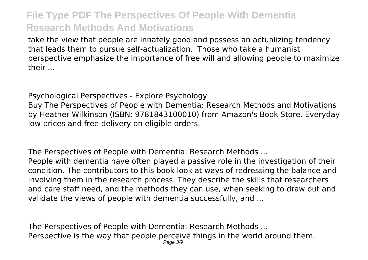take the view that people are innately good and possess an actualizing tendency that leads them to pursue self-actualization.. Those who take a humanist perspective emphasize the importance of free will and allowing people to maximize their ...

Psychological Perspectives - Explore Psychology Buy The Perspectives of People with Dementia: Research Methods and Motivations by Heather Wilkinson (ISBN: 9781843100010) from Amazon's Book Store. Everyday low prices and free delivery on eligible orders.

The Perspectives of People with Dementia: Research Methods ... People with dementia have often played a passive role in the investigation of their condition. The contributors to this book look at ways of redressing the balance and involving them in the research process. They describe the skills that researchers and care staff need, and the methods they can use, when seeking to draw out and validate the views of people with dementia successfully, and ...

The Perspectives of People with Dementia: Research Methods ... Perspective is the way that people perceive things in the world around them. Page 3/9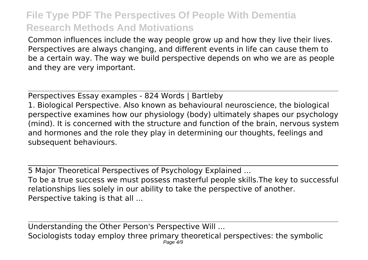Common influences include the way people grow up and how they live their lives. Perspectives are always changing, and different events in life can cause them to be a certain way. The way we build perspective depends on who we are as people and they are very important.

Perspectives Essay examples - 824 Words | Bartleby 1. Biological Perspective. Also known as behavioural neuroscience, the biological perspective examines how our physiology (body) ultimately shapes our psychology (mind). It is concerned with the structure and function of the brain, nervous system and hormones and the role they play in determining our thoughts, feelings and subsequent behaviours.

5 Major Theoretical Perspectives of Psychology Explained ... To be a true success we must possess masterful people skills.The key to successful relationships lies solely in our ability to take the perspective of another. Perspective taking is that all ...

Understanding the Other Person's Perspective Will ... Sociologists today employ three primary theoretical perspectives: the symbolic Page 4/9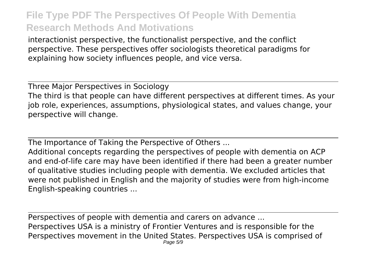interactionist perspective, the functionalist perspective, and the conflict perspective. These perspectives offer sociologists theoretical paradigms for explaining how society influences people, and vice versa.

Three Major Perspectives in Sociology The third is that people can have different perspectives at different times. As your job role, experiences, assumptions, physiological states, and values change, your perspective will change.

The Importance of Taking the Perspective of Others ...

Additional concepts regarding the perspectives of people with dementia on ACP and end-of-life care may have been identified if there had been a greater number of qualitative studies including people with dementia. We excluded articles that were not published in English and the majority of studies were from high-income English-speaking countries ...

Perspectives of people with dementia and carers on advance ... Perspectives USA is a ministry of Frontier Ventures and is responsible for the Perspectives movement in the United States. Perspectives USA is comprised of Page 5/9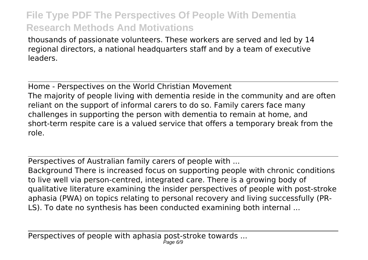thousands of passionate volunteers. These workers are served and led by 14 regional directors, a national headquarters staff and by a team of executive leaders.

Home - Perspectives on the World Christian Movement The majority of people living with dementia reside in the community and are often reliant on the support of informal carers to do so. Family carers face many challenges in supporting the person with dementia to remain at home, and short-term respite care is a valued service that offers a temporary break from the role.

Perspectives of Australian family carers of people with ...

Background There is increased focus on supporting people with chronic conditions to live well via person-centred, integrated care. There is a growing body of qualitative literature examining the insider perspectives of people with post-stroke aphasia (PWA) on topics relating to personal recovery and living successfully (PR-LS). To date no synthesis has been conducted examining both internal ...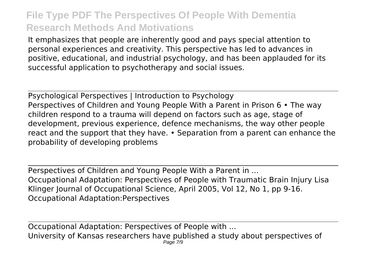It emphasizes that people are inherently good and pays special attention to personal experiences and creativity. This perspective has led to advances in positive, educational, and industrial psychology, and has been applauded for its successful application to psychotherapy and social issues.

Psychological Perspectives | Introduction to Psychology Perspectives of Children and Young People With a Parent in Prison 6 • The way children respond to a trauma will depend on factors such as age, stage of development, previous experience, defence mechanisms, the way other people react and the support that they have. • Separation from a parent can enhance the probability of developing problems

Perspectives of Children and Young People With a Parent in ... Occupational Adaptation: Perspectives of People with Traumatic Brain Injury Lisa Klinger Journal of Occupational Science, April 2005, Vol 12, No 1, pp 9-16. Occupational Adaptation:Perspectives

Occupational Adaptation: Perspectives of People with ... University of Kansas researchers have published a study about perspectives of Page 7/9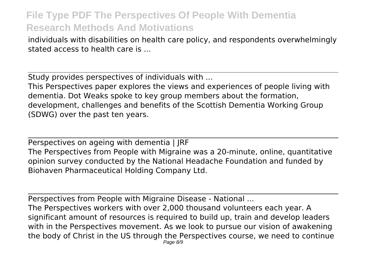individuals with disabilities on health care policy, and respondents overwhelmingly stated access to health care is ...

Study provides perspectives of individuals with ...

This Perspectives paper explores the views and experiences of people living with dementia. Dot Weaks spoke to key group members about the formation, development, challenges and benefits of the Scottish Dementia Working Group (SDWG) over the past ten years.

Perspectives on ageing with dementia | JRF The Perspectives from People with Migraine was a 20-minute, online, quantitative opinion survey conducted by the National Headache Foundation and funded by Biohaven Pharmaceutical Holding Company Ltd.

Perspectives from People with Migraine Disease - National ...

The Perspectives workers with over 2,000 thousand volunteers each year. A significant amount of resources is required to build up, train and develop leaders with in the Perspectives movement. As we look to pursue our vision of awakening the body of Christ in the US through the Perspectives course, we need to continue Page 8/9